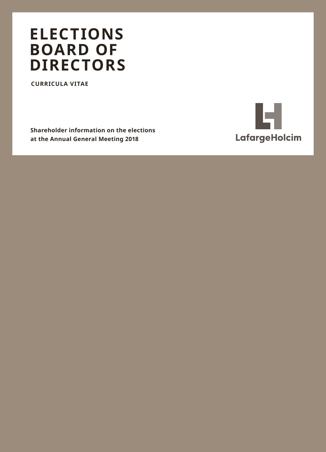## **ELECTIONS BOARD OF DIRECTORS**

**CURRICULA VITAE**

**Shareholder information on the elections at the Annual General Meeting 2018**

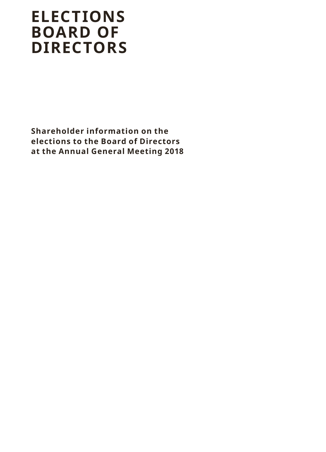# **ELECTIONS BOARD OF DIRECTORS**

**Shareholder information on the elections to the Board of Directors at the Annual General Meeting 2018**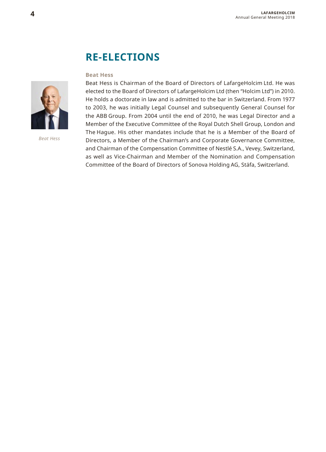### **RE-ELECTIONS**

#### **Beat Hess**

Beat Hess is Chairman of the Board of Directors of LafargeHolcim Ltd. He was elected to the Board of Directors of LafargeHolcim Ltd (then "Holcim Ltd") in 2010. He holds a doctorate in law and is admitted to the bar in Switzerland. From 1977 to 2003, he was initially Legal Counsel and subsequently General Counsel for the ABB Group. From 2004 until the end of 2010, he was Legal Director and a Member of the Executive Committee of the Royal Dutch Shell Group, London and The Hague. His other mandates include that he is a Member of the Board of Directors, a Member of the Chairman's and Corporate Governance Committee, and Chairman of the Compensation Committee of Nestlé S.A., Vevey, Switzerland, as well as Vice-Chairman and Member of the Nomination and Compensation Committee of the Board of Directors of Sonova Holding AG, Stäfa, Switzerland.



*Beat Hess*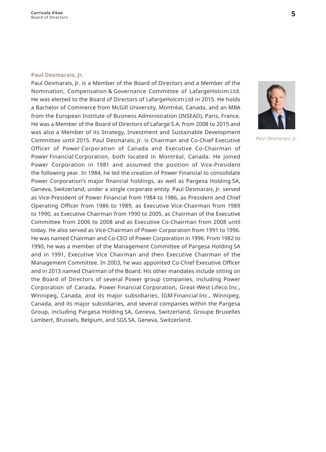#### **Paul Desmarais, Jr.**

Paul Desmarais, Jr. is a Member of the Board of Directors and a Member of the Nomination, Compensation & Governance Committee of LafargeHolcim Ltd. He was elected to the Board of Directors of LafargeHolcim Ltd in 2015. He holds a Bachelor of Commerce from McGill University, Montréal, Canada, and an MBA from the European Institute of Business Administration (INSEAD), Paris, France. He was a Member of the Board of Directors of Lafarge S.A. from 2008 to 2015 and was also a Member of its Strategy, Investment and Sustainable Development Committee until 2015. Paul Desmarais, Jr. is Chairman and Co-Chief Executive Officer of Power Corporation of Canada and Executive Co-Chairman of Power Financial Corporation, both located in Montréal, Canada. He joined Power Corporation in 1981 and assumed the position of Vice-President the following year. In 1984, he led the creation of Power Financial to consolidate Power Corporation's major financial holdings, as well as Pargesa Holding SA, Geneva, Switzerland, under a single corporate entity. Paul Desmarais, Jr. served as Vice-President of Power Financial from 1984 to 1986, as President and Chief Operating Officer from 1986 to 1989, as Executive Vice-Chairman from 1989 to 1990, as Executive Chairman from 1990 to 2005, as Chairman of the Executive Committee from 2006 to 2008 and as Executive Co-Chairman from 2008 until today. He also served as Vice-Chairman of Power Corporation from 1991 to 1996. He was named Chairman and Co-CEO of Power Corporation in 1996. From 1982 to 1990, he was a member of the Management Committee of Pargesa Holding SA and in 1991, Executive Vice Chairman and then Executive Chairman of the Management Committee. In 2003, he was appointed Co-Chief Executive Officer and in 2013 named Chairman of the Board. His other mandates include sitting on the Board of Directors of several Power group companies, including Power Corporation of Canada, Power Financial Corporation, Great-West Lifeco Inc., Winnipeg, Canada, and its major subsidiaries, IGM Financial Inc., Winnipeg, Canada, and its major subsidiaries, and several companies within the Pargesa Group, including Pargesa Holding SA, Geneva, Switzerland, Groupe Bruxelles Lambert, Brussels, Belgium, and SGS SA, Geneva, Switzerland.



*Paul Desmarais, Jr.*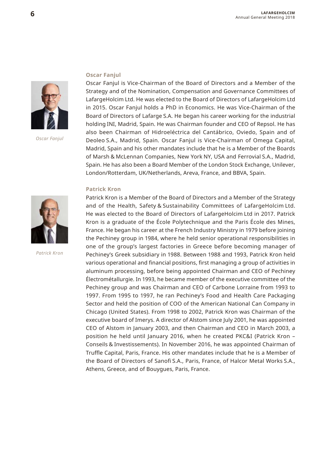

*Oscar Fanjul*

#### **Oscar Fanjul**

Oscar Fanjul is Vice-Chairman of the Board of Directors and a Member of the Strategy and of the Nomination, Compensation and Governance Committees of LafargeHolcim Ltd. He was elected to the Board of Directors of LafargeHolcim Ltd in 2015. Oscar Fanjul holds a PhD in Economics. He was Vice-Chairman of the Board of Directors of Lafarge S.A. He began his career working for the industrial holding INI, Madrid, Spain. He was Chairman founder and CEO of Repsol. He has also been Chairman of Hidroeléctrica del Cantábrico, Oviedo, Spain and of Deoleo S.A., Madrid, Spain. Oscar Fanjul is Vice-Chairman of Omega Capital, Madrid, Spain and his other mandates include that he is a Member of the Boards of Marsh & McLennan Companies, New York NY, USA and Ferrovial S.A., Madrid, Spain. He has also been a Board Member of the London Stock Exchange, Unilever, London/Rotterdam, UK/Netherlands, Areva, France, and BBVA, Spain.

Électrométallurgie. In 1993, he became member of the executive committee of the Pechiney group and was Chairman and CEO of Carbone Lorraine from 1993 to 1997. From 1995 to 1997, he ran Pechiney's Food and Health Care Packaging Sector and held the position of COO of the American National Can Company in Chicago (United States). From 1998 to 2002, Patrick Kron was Chairman of the executive board of Imerys. A director of Alstom since July 2001, he was appointed CEO of Alstom in January 2003, and then Chairman and CEO in March 2003, a position he held until January 2016, when he created PKC&I (Patrick Kron – Conseils & Investissements). In November 2016, he was appointed Chairman of Truffle Capital, Paris, France. His other mandates include that he is a Member of the Board of Directors of Sanofi S.A., Paris, France, of Halcor Metal Works S.A.,

Athens, Greece, and of Bouygues, Paris, France.

#### **Patrick Kron**



*Patrick Kron*

### Patrick Kron is a Member of the Board of Directors and a Member of the Strategy and of the Health, Safety & Sustainability Committees of LafargeHolcim Ltd. He was elected to the Board of Directors of LafargeHolcim Ltd in 2017. Patrick Kron is a graduate of the École Polytechnique and the Paris École des Mines, France. He began his career at the French Industry Ministry in 1979 before joining the Pechiney group in 1984, where he held senior operational responsibilities in one of the group's largest factories in Greece before becoming manager of Pechiney's Greek subsidiary in 1988. Between 1988 and 1993, Patrick Kron held various operational and financial positions, first managing a group of activities in aluminum processing, before being appointed Chairman and CEO of Pechiney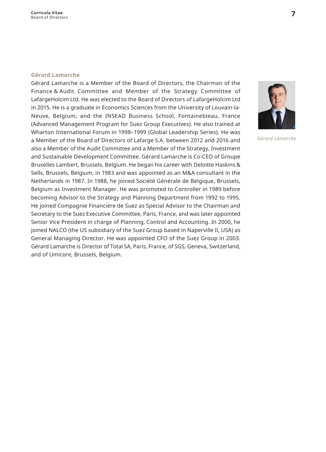#### **Gérard Lamarche**

Gérard Lamarche is a Member of the Board of Directors, the Chairman of the Finance & Audit Committee and Member of the Strategy Committee of LafargeHolcim Ltd. He was elected to the Board of Directors of LafargeHolcim Ltd in 2015. He is a graduate in Economics Sciences from the University of Louvain-la-Neuve, Belgium, and the INSEAD Business School, Fontainebleau, France (Advanced Management Program for Suez Group Executives). He also trained at Wharton International Forum in 1998–1999 (Global Leadership Series). He was a Member of the Board of Directors of Lafarge S.A. between 2012 and 2016 and also a Member of the Audit Committee and a Member of the Strategy, Investment and Sustainable Development Committee. Gérard Lamarche is Co-CEO of Groupe Bruxelles Lambert, Brussels, Belgium. He began his career with Deloitte Haskins & Sells, Brussels, Belgium, in 1983 and was appointed as an M&A consultant in the Netherlands in 1987. In 1988, he joined Société Générale de Belgique, Brussels, Belgium as Investment Manager. He was promoted to Controller in 1989 before becoming Advisor to the Strategy and Planning Department from 1992 to 1995. He joined Compagnie Financière de Suez as Special Advisor to the Chairman and Secretary to the Suez Executive Committee, Paris, France, and was later appointed Senior Vice President in charge of Planning, Control and Accounting. In 2000, he joined NALCO (the US subsidiary of the Suez Group based in Naperville Il, USA) as General Managing Director. He was appointed CFO of the Suez Group in 2003. Gérard Lamarche is Director of Total SA, Paris, France, of SGS, Geneva, Switzerland, and of Umicore, Brussels, Belgium.



*Gérard Lamarche*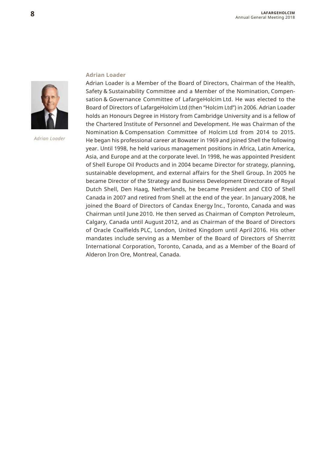

*Adrian Loader*

#### **Adrian Loader**

Adrian Loader is a Member of the Board of Directors, Chairman of the Health, Safety & Sustainability Committee and a Member of the Nomination, Compensation & Governance Committee of LafargeHolcim Ltd. He was elected to the Board of Directors of LafargeHolcim Ltd (then "Holcim Ltd") in 2006. Adrian Loader holds an Honours Degree in History from Cambridge University and is a fellow of the Chartered Institute of Personnel and Development. He was Chairman of the Nomination & Compensation Committee of Holcim Ltd from 2014 to 2015. He began his professional career at Bowater in 1969 and joined Shell the following year. Until 1998, he held various management positions in Africa, Latin America, Asia, and Europe and at the corporate level. In 1998, he was appointed President of Shell Europe Oil Products and in 2004 became Director for strategy, planning, sustainable development, and external affairs for the Shell Group. In 2005 he became Director of the Strategy and Business Development Directorate of Royal Dutch Shell, Den Haag, Netherlands, he became President and CEO of Shell Canada in 2007 and retired from Shell at the end of the year. In January 2008, he joined the Board of Directors of Candax Energy Inc., Toronto, Canada and was Chairman until June 2010. He then served as Chairman of Compton Petroleum, Calgary, Canada until August 2012, and as Chairman of the Board of Directors of Oracle Coalfields PLC, London, United Kingdom until April 2016. His other mandates include serving as a Member of the Board of Directors of Sherritt International Corporation, Toronto, Canada, and as a Member of the Board of Alderon Iron Ore, Montreal, Canada.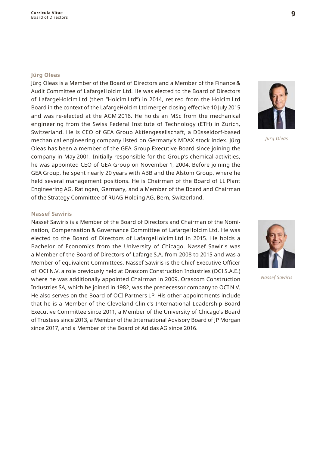#### **Jürg Oleas**

Jürg Oleas is a Member of the Board of Directors and a Member of the Finance & Audit Committee of LafargeHolcim Ltd. He was elected to the Board of Directors of LafargeHolcim Ltd (then "Holcim Ltd") in 2014, retired from the Holcim Ltd Board in the context of the LafargeHolcim Ltd merger closing effective 10 July 2015 and was re-elected at the AGM 2016. He holds an MSc from the mechanical engineering from the Swiss Federal Institute of Technology (ETH) in Zurich, Switzerland. He is CEO of GEA Group Aktiengesellschaft, a Düsseldorf-based mechanical engineering company listed on Germany's MDAX stock index. Jürg Oleas has been a member of the GEA Group Executive Board since joining the company in May 2001. Initially responsible for the Group's chemical activities, he was appointed CEO of GEA Group on November 1, 2004. Before joining the GEA Group, he spent nearly 20 years with ABB and the Alstom Group, where he held several management positions. He is Chairman of the Board of LL Plant Engineering AG, Ratingen, Germany, and a Member of the Board and Chairman of the Strategy Committee of RUAG Holding AG, Bern, Switzerland.

*Jürg Oleas*

#### **Nassef Sawiris**

Nassef Sawiris is a Member of the Board of Directors and Chairman of the Nomination, Compensation & Governance Committee of LafargeHolcim Ltd. He was elected to the Board of Directors of LafargeHolcim Ltd in 2015. He holds a Bachelor of Economics from the University of Chicago. Nassef Sawiris was a Member of the Board of Directors of Lafarge S.A. from 2008 to 2015 and was a Member of equivalent Committees. Nassef Sawiris is the Chief Executive Officer of  OCI N.V. a role previously held at Orascom Construction Industries (OCI S.A.E.) where he was additionally appointed Chairman in 2009. Orascom Construction Industries SA, which he joined in 1982, was the predecessor company to OCI N.V. He also serves on the Board of OCI Partners LP. His other appointments include that he is a Member of the Cleveland Clinic's International Leadership Board Executive Committee since 2011, a Member of the University of Chicago's Board of Trustees since 2013, a Member of the International Advisory Board of JP Morgan since 2017, and a Member of the Board of Adidas AG since 2016.



*Nassef Sawiris*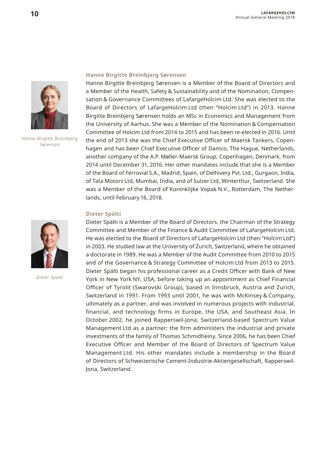

*Hanne Birgitte Breinbjerg Sørensen*



*Dieter Spälti*

#### **Hanne Birgitte Breinbjerg Sørensen**

Hanne Birgitte Breinbjerg Sørensen is a Member of the Board of Directors and a Member of the Health, Safety & Sustainability and of the Nomination, Compensation & Governance Committees of LafargeHolcim Ltd. She was elected to the Board of Directors of LafargeHolcim Ltd (then "Holcim Ltd") in 2013. Hanne Birgitte Breinbjerg Sørensen holds an MSc in Economics and Management from the University of Aarhus. She was a Member of the Nomination & Compensation Committee of Holcim Ltd from 2014 to 2015 and has been re-elected in 2016. Until the end of 2013 she was the Chief Executive Officer of Maersk Tankers, Copenhagen and has been Chief Executive Officer of Damco, The Hague, Netherlands, another company of the A.P. Møller-Maersk Group, Copenhagen, Denmark, from 2014 until December 31, 2016. Her other mandates include that she is a Member of the Board of Ferrovial S.A., Madrid, Spain, of Delhivery Pvt. Ltd., Gurgaon, India, of Tata Motors Ltd, Mumbai, India, and of Sulzer Ltd, Winterthur, Switzerland. She was a Member of the Board of Koninklijke Vopak N.V., Rotterdam, The Netherlands, until February 16, 2018.

#### **Dieter Spälti**

Dieter Spälti is a Member of the Board of Directors, the Chairman of the Strategy Committee and Member of the Finance & Audit Committee of LafargeHolcim Ltd. He was elected to the Board of Directors of LafargeHolcim Ltd (then "Holcim Ltd") in 2003. He studied law at the University of Zurich, Switzerland, where he obtained a doctorate in 1989. He was a Member of the Audit Committee from 2010 to 2015 and of the Governance & Strategy Committee of Holcim Ltd from 2013 to 2015. Dieter Spälti began his professional career as a Credit Officer with Bank of New York in New York NY, USA, before taking up an appointment as Chief Financial Officer of Tyrolit (Swarovski Group), based in Innsbruck, Austria and Zurich, Switzerland in 1991. From 1993 until 2001, he was with McKinsey & Company, ultimately as a partner, and was involved in numerous projects with industrial, financial, and technology firms in Europe, the USA, and Southeast Asia. In October 2002, he joined Rapperswil-Jona, Switzerland-based Spectrum Value Management Ltd as a partner; the firm administers the industrial and private investments of the family of Thomas Schmidheiny. Since 2006, he has been Chief Executive Officer and Member of the Board of Directors of Spectrum Value Management Ltd. His other mandates include a membership in the Board of Directors of Schweizerische Cement-Industrie-Aktiengesellschaft, Rapperswil-Jona, Switzerland.